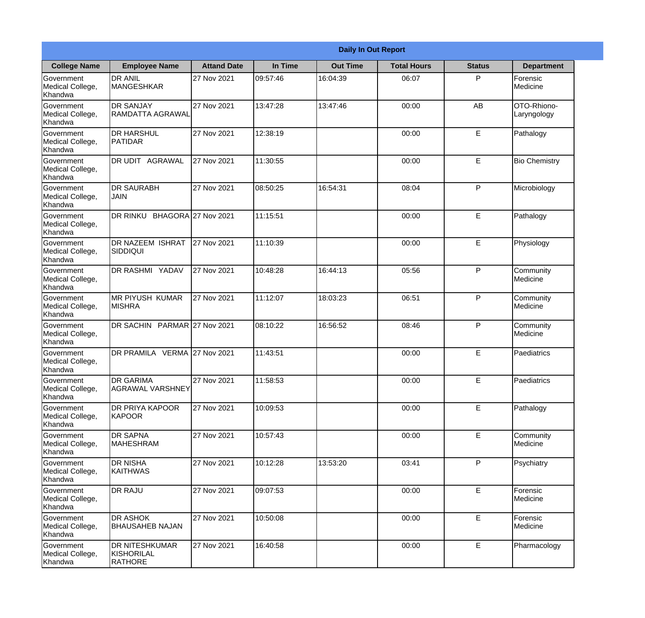|                                                  | <b>Daily In Out Report</b>                            |                    |          |                 |                    |               |                            |  |
|--------------------------------------------------|-------------------------------------------------------|--------------------|----------|-----------------|--------------------|---------------|----------------------------|--|
| <b>College Name</b>                              | <b>Employee Name</b>                                  | <b>Attand Date</b> | In Time  | <b>Out Time</b> | <b>Total Hours</b> | <b>Status</b> | <b>Department</b>          |  |
| Government<br>Medical College,<br>Khandwa        | <b>DR ANIL</b><br><b>MANGESHKAR</b>                   | 27 Nov 2021        | 09:57:46 | 16:04:39        | 06:07              | P             | Forensic<br>Medicine       |  |
| Government<br>Medical College,<br>Khandwa        | <b>DR SANJAY</b><br>RAMDATTA AGRAWAL                  | 27 Nov 2021        | 13:47:28 | 13:47:46        | 00:00              | AB            | OTO-Rhiono-<br>Laryngology |  |
| <b>Government</b><br>Medical College,<br>Khandwa | <b>DR HARSHUL</b><br>IPATIDAR                         | 27 Nov 2021        | 12:38:19 |                 | 00:00              | E             | Pathalogy                  |  |
| Government<br>Medical College,<br>Khandwa        | DR UDIT AGRAWAL                                       | 27 Nov 2021        | 11:30:55 |                 | 00:00              | E             | <b>Bio Chemistry</b>       |  |
| Government<br>Medical College,<br>Khandwa        | <b>DR SAURABH</b><br><b>JAIN</b>                      | 27 Nov 2021        | 08:50:25 | 16:54:31        | 08:04              | P             | Microbiology               |  |
| Government<br>Medical College,<br>Khandwa        | DR RINKU BHAGORA 27 Nov 2021                          |                    | 11:15:51 |                 | 00:00              | E             | Pathalogy                  |  |
| Government<br>Medical College,<br>Khandwa        | DR NAZEEM ISHRAT<br>SIDDIQUI                          | 27 Nov 2021        | 11:10:39 |                 | 00:00              | E             | Physiology                 |  |
| Government<br>Medical College,<br>Khandwa        | <b>DR RASHMI YADAV</b>                                | 27 Nov 2021        | 10:48:28 | 16:44:13        | 05:56              | P             | Community<br>Medicine      |  |
| Government<br>Medical College,<br>Khandwa        | <b>MR PIYUSH KUMAR</b><br><b>MISHRA</b>               | 27 Nov 2021        | 11:12:07 | 18:03:23        | 06:51              | P             | Community<br>Medicine      |  |
| Government<br>Medical College,<br>Khandwa        | DR SACHIN PARMAR 27 Nov 2021                          |                    | 08:10:22 | 16:56:52        | 08:46              | P             | Community<br>Medicine      |  |
| Government<br>Medical College,<br>Khandwa        | DR PRAMILA VERMA 27 Nov 2021                          |                    | 11:43:51 |                 | 00:00              | E             | Paediatrics                |  |
| Government<br>Medical College,<br>Khandwa        | <b>IDR GARIMA</b><br>AGRAWAL VARSHNEY                 | 27 Nov 2021        | 11:58:53 |                 | 00:00              | E             | Paediatrics                |  |
| Government<br>Medical College,<br>Khandwa        | <b>DR PRIYA KAPOOR</b><br>KAPOOR                      | 27 Nov 2021        | 10:09:53 |                 | 00:00              | E             | Pathalogy                  |  |
| Government<br>Medical College,<br>Khandwa        | <b>DR SAPNA</b><br><b>MAHESHRAM</b>                   | 27 Nov 2021        | 10:57:43 |                 | 00:00              | E             | Community<br>Medicine      |  |
| Government<br>Medical College,<br>Khandwa        | <b>DR NISHA</b><br><b>KAITHWAS</b>                    | 27 Nov 2021        | 10:12:28 | 13:53:20        | 03:41              | $\mathsf{P}$  | Psychiatry                 |  |
| Government<br>Medical College,<br>Khandwa        | <b>DR RAJU</b>                                        | 27 Nov 2021        | 09:07:53 |                 | 00:00              | $\mathsf E$   | Forensic<br>Medicine       |  |
| Government<br>Medical College,<br>Khandwa        | <b>DR ASHOK</b><br><b>BHAUSAHEB NAJAN</b>             | 27 Nov 2021        | 10:50:08 |                 | 00:00              | E             | Forensic<br>Medicine       |  |
| Government<br>Medical College,<br>Khandwa        | <b>DR NITESHKUMAR</b><br>KISHORILAL<br><b>RATHORE</b> | 27 Nov 2021        | 16:40:58 |                 | 00:00              | E             | Pharmacology               |  |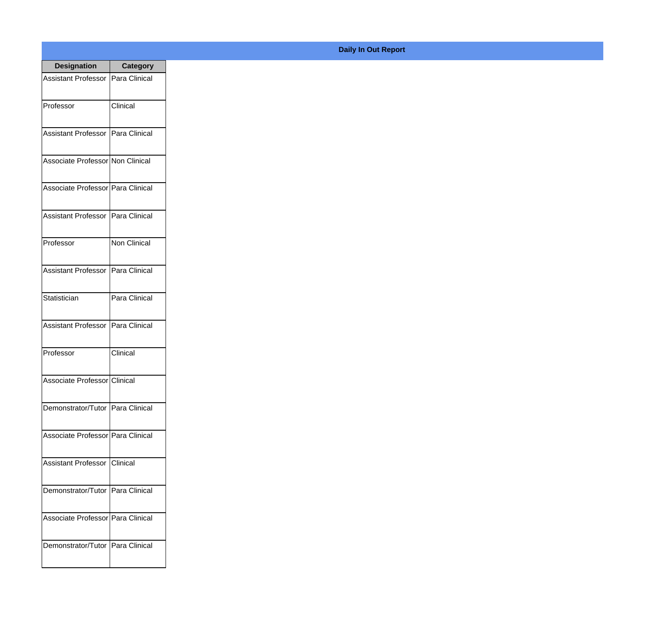| <b>Designation</b>                  | <b>Category</b> |
|-------------------------------------|-----------------|
| Assistant Professor   Para Clinical |                 |
| Professor                           | Clinical        |
| Assistant Professor Para Clinical   |                 |
| Associate Professor Non Clinical    |                 |
| Associate Professor   Para Clinical |                 |
| Assistant Professor   Para Clinical |                 |
| Professor                           | Non Clinical    |
| Assistant Professor   Para Clinical |                 |
| Statistician                        | Para Clinical   |
| <b>Assistant Professor</b>          | Para Clinical   |
| Professor                           | Clinical        |
| Associate Professor Clinical        |                 |
| Demonstrator/Tutor   Para Clinical  |                 |
| Associate Professor Para Clinical   |                 |
| Assistant Professor   Clinical      |                 |
| Demonstrator/Tutor   Para Clinical  |                 |
| Associate Professor   Para Clinical |                 |
| Demonstrator/Tutor   Para Clinical  |                 |

## **Daily In Out Report**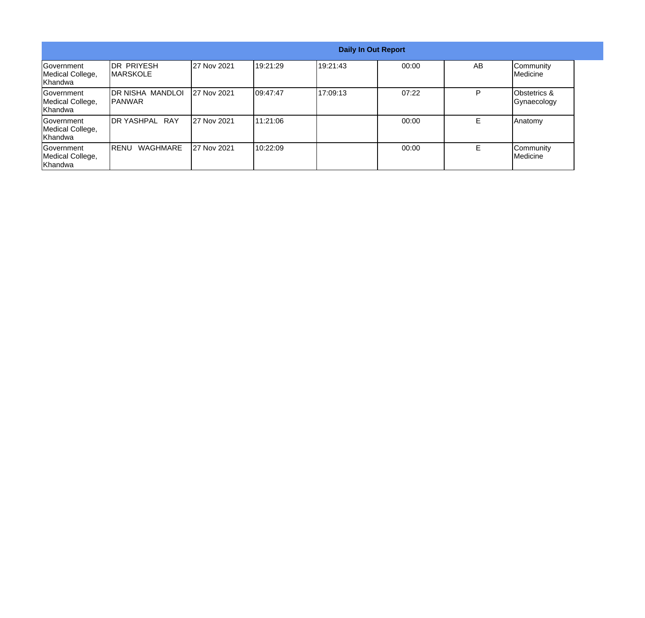| <b>Daily In Out Report</b>                 |                                        |                    |           |           |       |    |                             |
|--------------------------------------------|----------------------------------------|--------------------|-----------|-----------|-------|----|-----------------------------|
| Government<br>Medical College,<br>Khandwa  | <b>IDR PRIYESH</b><br><b>IMARSKOLE</b> | 27 Nov 2021        | 19:21:29  | 19:21:43  | 00:00 | AB | Community<br>Medicine       |
| Government<br>Medical College,<br>IKhandwa | DR NISHA MANDLOI<br>IPANWAR            | <b>27 Nov 2021</b> | 109:47:47 | 117:09:13 | 07:22 | P  | Obstetrics &<br>Gynaecology |
| Government<br>Medical College,<br>Khandwa  | DR YASHPAL RAY                         | <b>27 Nov 2021</b> | 111:21:06 |           | 00:00 |    | Anatomy                     |
| Government<br>Medical College,<br>Khandwa  | <b>WAGHMARE</b><br>IRENU               | <b>27 Nov 2021</b> | 10:22:09  |           | 00:00 | Е  | Community<br>Medicine       |